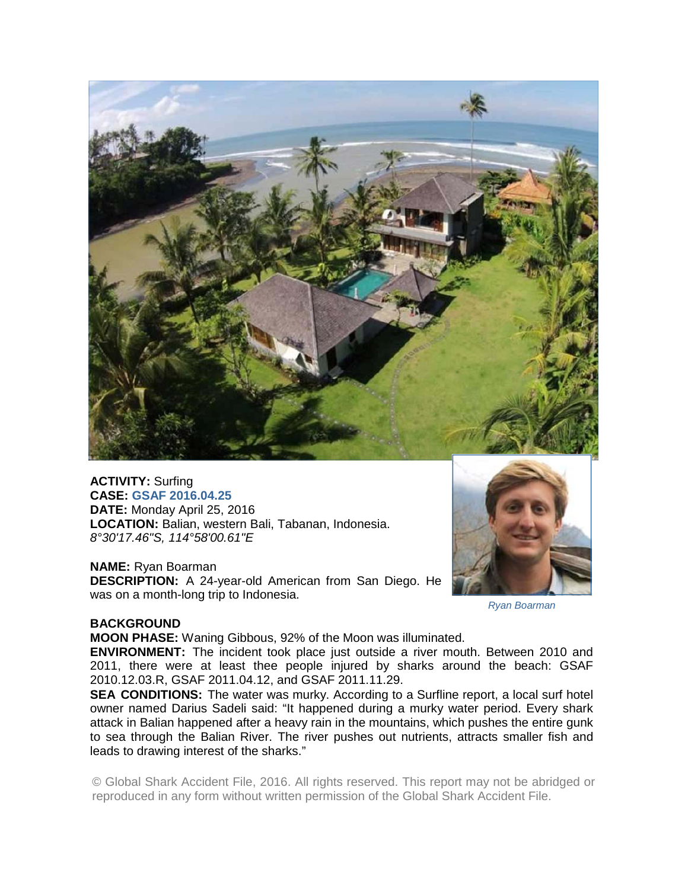

**ACTIVITY:** Surfing **CASE: GSAF 2016.04.25 DATE:** Monday April 25, 2016 **LOCATION:** Balian, western Bali, Tabanan, Indonesia. *8°30'17.46"S, 114°58'00.61"E* 

### **NAME:** Ryan Boarman

**DESCRIPTION:** A 24-year-old American from San Diego. He was on a month-long trip to Indonesia.



*Ryan Boarman* 

### **BACKGROUND**

**MOON PHASE:** Waning Gibbous, 92% of the Moon was illuminated.

**ENVIRONMENT:** The incident took place just outside a river mouth. Between 2010 and 2011, there were at least thee people injured by sharks around the beach: GSAF 2010.12.03.R, GSAF 2011.04.12, and GSAF 2011.11.29.

**SEA CONDITIONS:** The water was murky. According to a Surfline report, a local surf hotel owner named Darius Sadeli said: "It happened during a murky water period. Every shark attack in Balian happened after a heavy rain in the mountains, which pushes the entire gunk to sea through the Balian River. The river pushes out nutrients, attracts smaller fish and leads to drawing interest of the sharks."

© Global Shark Accident File, 2016. All rights reserved. This report may not be abridged or reproduced in any form without written permission of the Global Shark Accident File.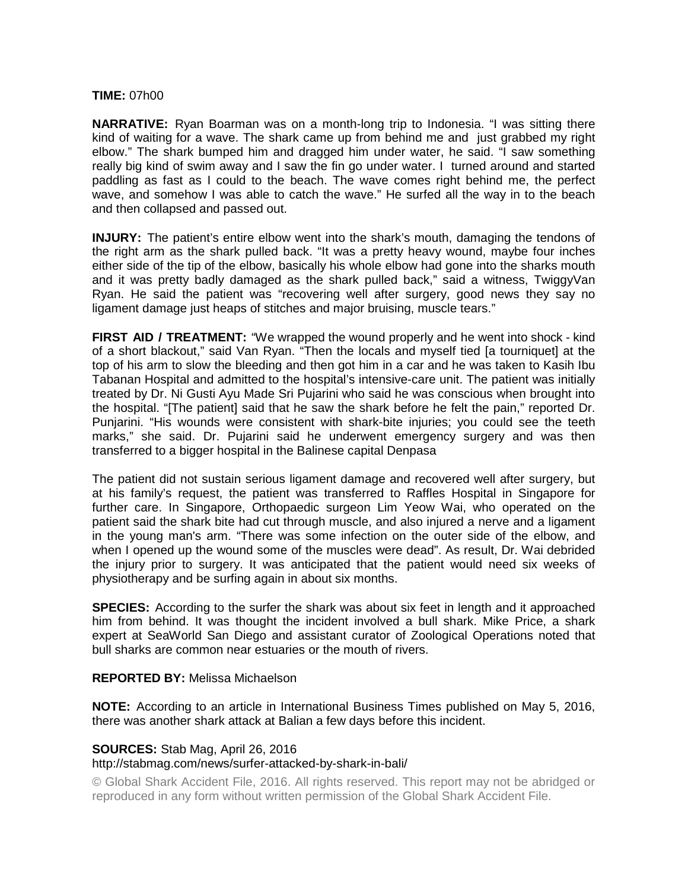# **TIME:** 07h00

**NARRATIVE:** Ryan Boarman was on a month-long trip to Indonesia. "I was sitting there kind of waiting for a wave. The shark came up from behind me and just grabbed my right elbow." The shark bumped him and dragged him under water, he said. "I saw something really big kind of swim away and I saw the fin go under water. I turned around and started paddling as fast as I could to the beach. The wave comes right behind me, the perfect wave, and somehow I was able to catch the wave." He surfed all the way in to the beach and then collapsed and passed out.

**INJURY:** The patient's entire elbow went into the shark's mouth, damaging the tendons of the right arm as the shark pulled back. "It was a pretty heavy wound, maybe four inches either side of the tip of the elbow, basically his whole elbow had gone into the sharks mouth and it was pretty badly damaged as the shark pulled back," said a witness, TwiggyVan Ryan. He said the patient was "recovering well after surgery, good news they say no ligament damage just heaps of stitches and major bruising, muscle tears."

**FIRST AID / TREATMENT:** "We wrapped the wound properly and he went into shock - kind of a short blackout," said Van Ryan. "Then the locals and myself tied [a tourniquet] at the top of his arm to slow the bleeding and then got him in a car and he was taken to Kasih Ibu Tabanan Hospital and admitted to the hospital's intensive-care unit. The patient was initially treated by Dr. Ni Gusti Ayu Made Sri Pujarini who said he was conscious when brought into the hospital. "[The patient] said that he saw the shark before he felt the pain," reported Dr. Punjarini. "His wounds were consistent with shark-bite injuries; you could see the teeth marks," she said. Dr. Pujarini said he underwent emergency surgery and was then transferred to a bigger hospital in the Balinese capital Denpasa

The patient did not sustain serious ligament damage and recovered well after surgery, but at his family's request, the patient was transferred to Raffles Hospital in Singapore for further care. In Singapore, Orthopaedic surgeon Lim Yeow Wai, who operated on the patient said the shark bite had cut through muscle, and also injured a nerve and a ligament in the young man's arm. "There was some infection on the outer side of the elbow, and when I opened up the wound some of the muscles were dead". As result, Dr. Wai debrided the injury prior to surgery. It was anticipated that the patient would need six weeks of physiotherapy and be surfing again in about six months.

**SPECIES:** According to the surfer the shark was about six feet in length and it approached him from behind. It was thought the incident involved a bull shark. Mike Price, a shark expert at SeaWorld San Diego and assistant curator of Zoological Operations noted that bull sharks are common near estuaries or the mouth of rivers.

# **REPORTED BY:** Melissa Michaelson

**NOTE:** According to an article in International Business Times published on May 5, 2016, there was another shark attack at Balian a few days before this incident.

# **SOURCES:** Stab Mag, April 26, 2016

### http://stabmag.com/news/surfer-attacked-by-shark-in-bali/

© Global Shark Accident File, 2016. All rights reserved. This report may not be abridged or reproduced in any form without written permission of the Global Shark Accident File.